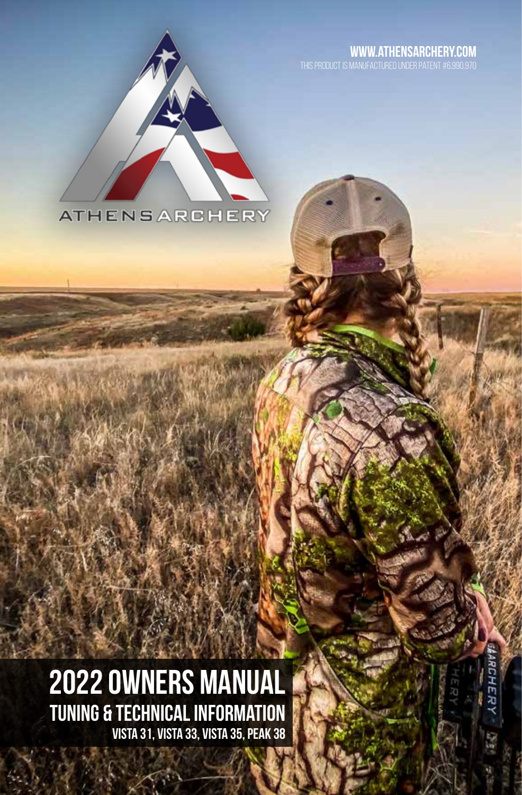#### **www.athensarchery.com**



# 2022 OWNERS MANUAL Tuning & Technical Information Vista 31, vista 33, vista 35, peak 38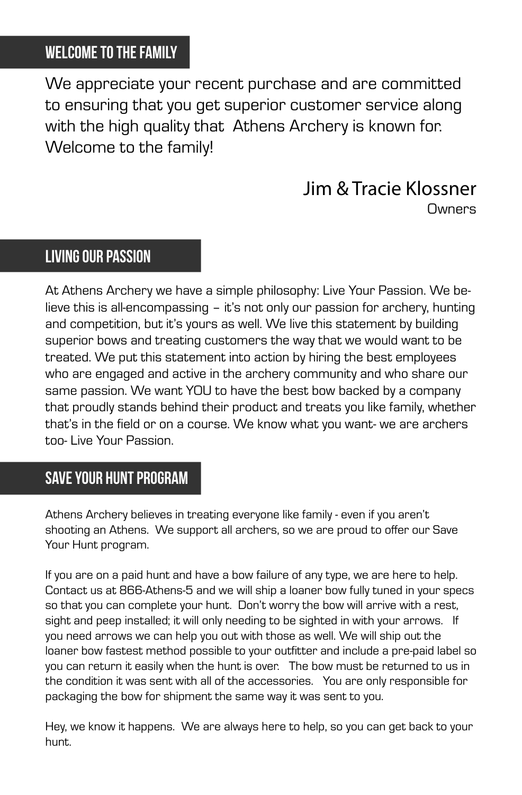### Welcome to the family

We appreciate your recent purchase and are committed to ensuring that you get superior customer service along with the high quality that Athens Archery is known for. Welcome to the family!

#### Jim & Tracie Klossner **Owners**

#### living our passion

At Athens Archery we have a simple philosophy: Live Your Passion. We believe this is all-encompassing – it's not only our passion for archery, hunting and competition, but it's yours as well. We live this statement by building superior bows and treating customers the way that we would want to be treated. We put this statement into action by hiring the best employees who are engaged and active in the archery community and who share our same passion. We want YOU to have the best bow backed by a company that proudly stands behind their product and treats you like family, whether that's in the field or on a course. We know what you want- we are archers too- Live Your Passion.

### save your hunt program

Athens Archery believes in treating everyone like family - even if you aren't shooting an Athens. We support all archers, so we are proud to offer our Save Your Hunt program.

If you are on a paid hunt and have a bow failure of any type, we are here to help. Contact us at 866-Athens-5 and we will ship a loaner bow fully tuned in your specs so that you can complete your hunt. Don't worry the bow will arrive with a rest, sight and peep installed; it will only needing to be sighted in with your arrows. If you need arrows we can help you out with those as well. We will ship out the loaner bow fastest method possible to your outfitter and include a pre-paid label so you can return it easily when the hunt is over. The bow must be returned to us in the condition it was sent with all of the accessories. You are only responsible for packaging the bow for shipment the same way it was sent to you.

Hey, we know it happens. We are always here to help, so you can get back to your hunt.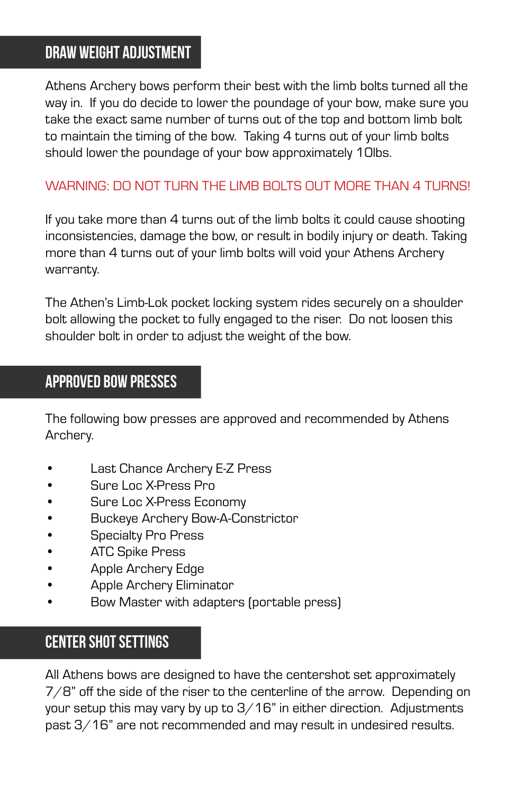### draw weight adjustment

Athens Archery bows perform their best with the limb bolts turned all the way in. If you do decide to lower the poundage of your bow, make sure you take the exact same number of turns out of the top and bottom limb bolt to maintain the timing of the bow. Taking 4 turns out of your limb bolts should lower the poundage of your bow approximately 10lbs.

#### WARNING: DO NOT TURN THE LIMB BOLTS OUT MORE THAN 4 TURNS!

If you take more than 4 turns out of the limb bolts it could cause shooting inconsistencies, damage the bow, or result in bodily injury or death. Taking more than 4 turns out of your limb bolts will void your Athens Archery warranty.

The Athen's Limb-Lok pocket locking system rides securely on a shoulder bolt allowing the pocket to fully engaged to the riser. Do not loosen this shoulder bolt in order to adjust the weight of the bow.

#### approved bow presses

The following bow presses are approved and recommended by Athens Archery.

- Last Chance Archery E-Z Press
- Sure Loc X-Press Pro
- Sure Loc X-Press Economy
- Buckeye Archery Bow-A-Constrictor
- Specialty Pro Press
- ATC Spike Press
- Apple Archery Edge
- Apple Archery Eliminator
- Bow Master with adapters (portable press)

### center shot settings

All Athens bows are designed to have the centershot set approximately 7/8" off the side of the riser to the centerline of the arrow. Depending on your setup this may vary by up to 3/16" in either direction. Adjustments past 3/16" are not recommended and may result in undesired results.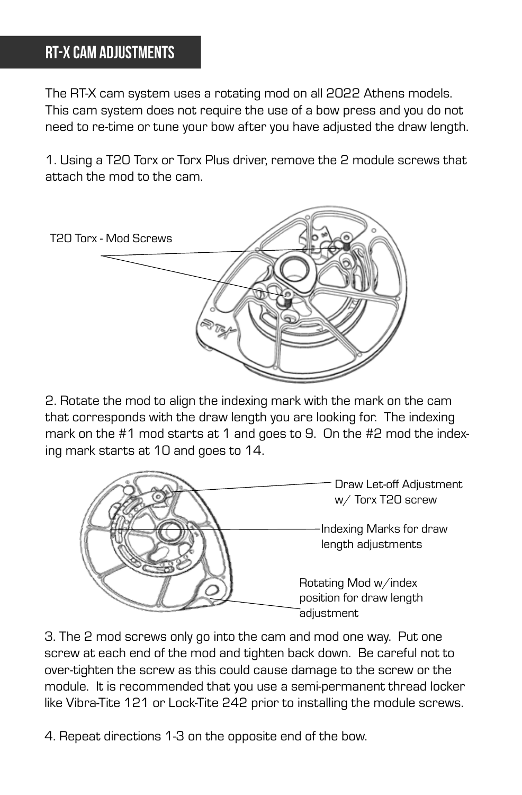### RT-x Cam Adjustments

The RT-X cam system uses a rotating mod on all 2022 Athens models. This cam system does not require the use of a bow press and you do not need to re-time or tune your bow after you have adjusted the draw length.

1. Using a T20 Torx or Torx Plus driver, remove the 2 module screws that attach the mod to the cam.



2. Rotate the mod to align the indexing mark with the mark on the cam that corresponds with the draw length you are looking for. The indexing mark on the #1 mod starts at 1 and goes to 9. On the #2 mod the indexing mark starts at 10 and goes to 14.



3. The 2 mod screws only go into the cam and mod one way. Put one screw at each end of the mod and tighten back down. Be careful not to over-tighten the screw as this could cause damage to the screw or the module. It is recommended that you use a semi-permanent thread locker like Vibra-Tite 121 or Lock-Tite 242 prior to installing the module screws.

4. Repeat directions 1-3 on the opposite end of the bow.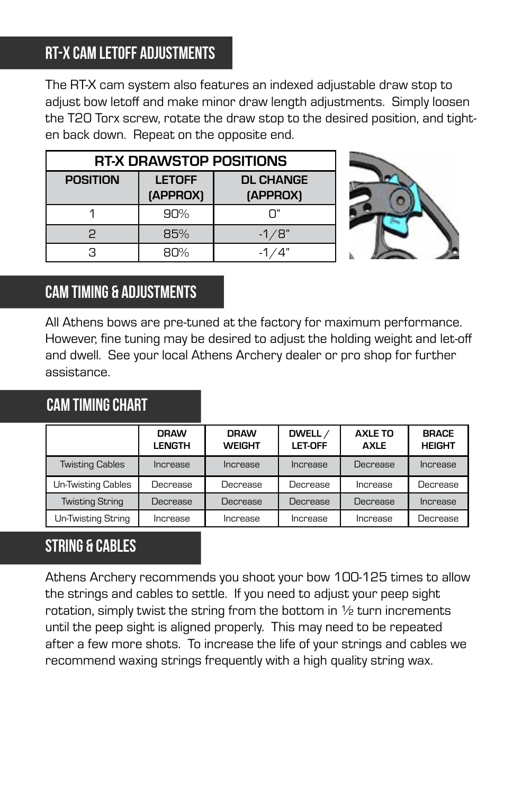# RT-X cam letoff adjustments

The RT-X cam system also features an indexed adjustable draw stop to adjust bow letoff and make minor draw length adjustments. Simply loosen the T20 Torx screw, rotate the draw stop to the desired position, and tighten back down. Repeat on the opposite end.

| RT-X DRAWSTOP POSITIONS |                           |                              |  |
|-------------------------|---------------------------|------------------------------|--|
| <b>POSITION</b>         | <b>LETOFF</b><br>(APPROX) | <b>DL CHANGE</b><br>(APPROX) |  |
|                         | 90%                       | ״ח                           |  |
| 2                       | 85%                       | $-1/8"$                      |  |
| я                       | $BD\%$                    |                              |  |



# cam timing & adjustments

All Athens bows are pre-tuned at the factory for maximum performance. However, fine tuning may be desired to adjust the holding weight and let-off and dwell. See your local Athens Archery dealer or pro shop for further assistance.

#### cam TIMING chart

|                           | <b>DRAW</b><br><b>LENGTH</b> | <b>DRAW</b><br><b>WEIGHT</b> | DWELL /<br>LET-OFF | <b>AXLE TO</b><br><b>AXLE</b> | <b>BRACE</b><br><b>HEIGHT</b> |
|---------------------------|------------------------------|------------------------------|--------------------|-------------------------------|-------------------------------|
| <b>Twisting Cables</b>    | Increase                     | Increase                     | Increase           | Decrease                      | Increase                      |
| <b>Un-Twisting Cables</b> | Decrease                     | Decrease                     | Decrease           | Increase                      | Decrease                      |
| <b>Twisting String</b>    | Decrease                     | Decrease                     | Decrease           | <b>Decrease</b>               | Increase                      |
| Un-Twisting String        | Increase                     | Increase                     | Increase           | Increase                      | Decrease                      |

# string & cables

Athens Archery recommends you shoot your bow 100-125 times to allow the strings and cables to settle. If you need to adjust your peep sight rotation, simply twist the string from the bottom in  $\frac{1}{2}$  turn increments until the peep sight is aligned properly. This may need to be repeated after a few more shots. To increase the life of your strings and cables we recommend waxing strings frequently with a high quality string wax.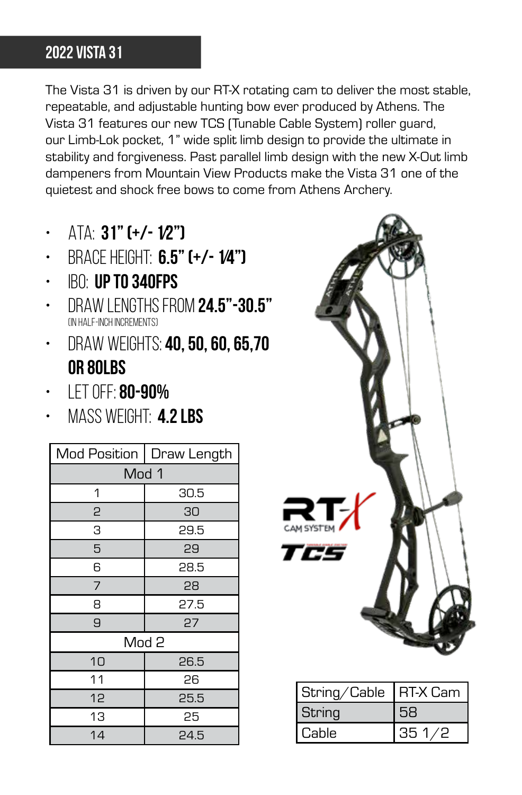# 2022 vista 31

The Vista 31 is driven by our RT-X rotating cam to deliver the most stable, repeatable, and adjustable hunting bow ever produced by Athens. The Vista 31 features our new TCS (Tunable Cable System) roller guard, our Limb-Lok pocket, 1" wide split limb design to provide the ultimate in stability and forgiveness. Past parallel limb design with the new X-Out limb dampeners from Mountain View Products make the Vista 31 one of the quietest and shock free bows to come from Athens Archery.

- $ATA$  31" (+/- 1/2")
- Brace Height: 6.5" (+/- 1⁄4")
- $\cdot$  IBO: UP TO 340FPS
- DRAW LENGTHS FROM 24.5"-30.5" (in half-inch increments)
- DRAW WEIGHTS: **40, 50, 60, 65,70** or 80lbs
- $\cdot$  IFT OFF: 80-90%
- $\cdot$  MASS WEIGHT: 4.2 LBS

| Mod Position     | Draw Length |  |
|------------------|-------------|--|
| Mod 1            |             |  |
| 1                | 30.5        |  |
| 2                | 30          |  |
| З                | 29.5        |  |
| 5                | 29          |  |
| 6                | 28.5        |  |
| 7                | 28          |  |
| 8                | 27.5        |  |
| 9                | 27          |  |
| Mod <sub>2</sub> |             |  |
| 10               | 26.5        |  |
| 11               | 26          |  |
| 12               | 25.5        |  |
| 13               | 25          |  |
| 14               | 24.5        |  |



| String/Cable | <b>IRT-X Cam</b> |  |
|--------------|------------------|--|
| String       |                  |  |
| Cable        | 351/2            |  |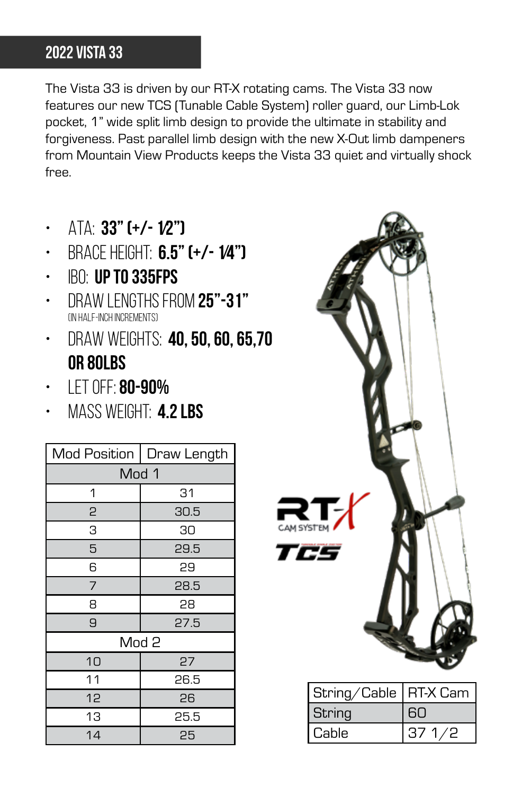# 2022 vista 33

The Vista 33 is driven by our RT-X rotating cams. The Vista 33 now features our new TCS (Tunable Cable System) roller guard, our Limb-Lok pocket, 1" wide split limb design to provide the ultimate in stability and forgiveness. Past parallel limb design with the new X-Out limb dampeners from Mountain View Products keeps the Vista 33 quiet and virtually shock free.

- $ATA: 33"$  (+/-  $1/2"$ )
- Brace Height: 6.5" (+/- 1⁄4")
- IBO: up to 335fps
- Draw lengths from 25"-31" (in half-inch increments)
- $\cdot$  Draw weights: 40, 50, 60, 65,70 or 80lbs
- $\cdot$  IFT OFF: 80-90%
- $\cdot$  MASS WEIGHT: 4.2 LBS

| <b>Mod Position</b> | Draw Length |  |  |
|---------------------|-------------|--|--|
| Mod 1               |             |  |  |
| 1                   | 31          |  |  |
| 2                   | 30.5        |  |  |
| З                   | 30          |  |  |
| 5                   | 29.5        |  |  |
| 6                   | 29          |  |  |
| 7                   | 28.5        |  |  |
| 8                   | 28          |  |  |
| 9                   | 27.5        |  |  |
| Mod <sub>2</sub>    |             |  |  |
| 10                  | 27          |  |  |
| 11                  | 26.5        |  |  |
| 12                  | 26          |  |  |
| 13                  | 25.5        |  |  |
| 14                  | 25          |  |  |



| String/Cable   RT-X Cam |       |
|-------------------------|-------|
| String                  | 60    |
| Cable                   | 371/2 |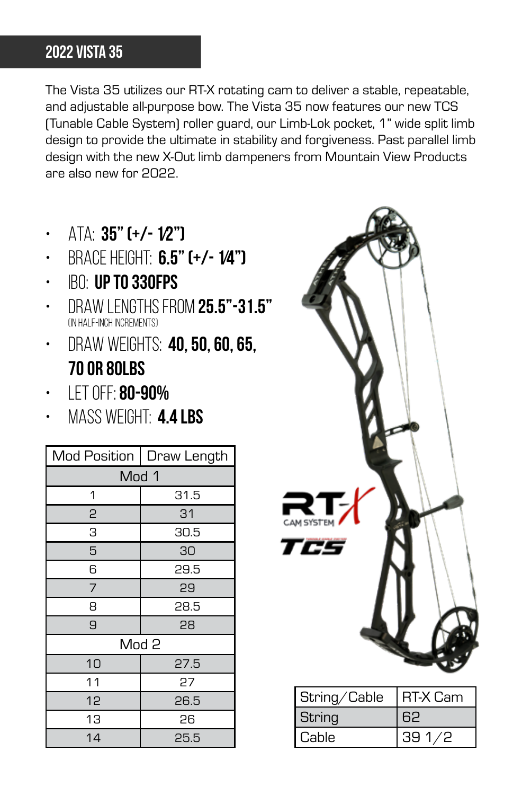# 2022 vista 35

The Vista 35 utilizes our RT-X rotating cam to deliver a stable, repeatable, and adjustable all-purpose bow. The Vista 35 now features our new TCS (Tunable Cable System) roller guard, our Limb-Lok pocket, 1" wide split limb design to provide the ultimate in stability and forgiveness. Past parallel limb design with the new X-Out limb dampeners from Mountain View Products are also new for 2022.

- $ATA$  35" (+/- 1/2")
- BRACE HEIGHT: 6.5" (+/- 1/4")
- $\cdot$  IBO: UP TO 330FPS
- DRAW LENGTHS FROM 25.5"-31.5" (in half-inch increments)
- $\cdot$  DRAW WEIGHTS: 40, 50, 60, 65, 70 or 80lbs
- $\cdot$  IFT OFF: 80-90%
- MASS WFIGHT: 4.4 LBS

| <b>Mod Position</b> | Draw Length |  |
|---------------------|-------------|--|
| Mod 1               |             |  |
| 1                   | 31.5        |  |
| 2                   | 31          |  |
| З                   | 30.5        |  |
| 5                   | 30          |  |
| 6                   | 29.5        |  |
| 7                   | 29          |  |
| 8                   | 28.5        |  |
| 9                   | 28          |  |
| Mod <sub>2</sub>    |             |  |
| 10                  | 27.5        |  |
| 11                  | 27          |  |
| 12                  | 26.5        |  |
| 13                  | 26          |  |
| 14                  | 25.5        |  |



| String/Cable | <b>IRT-X Cam</b> |
|--------------|------------------|
| String       |                  |
| Cable        | 39 1 42          |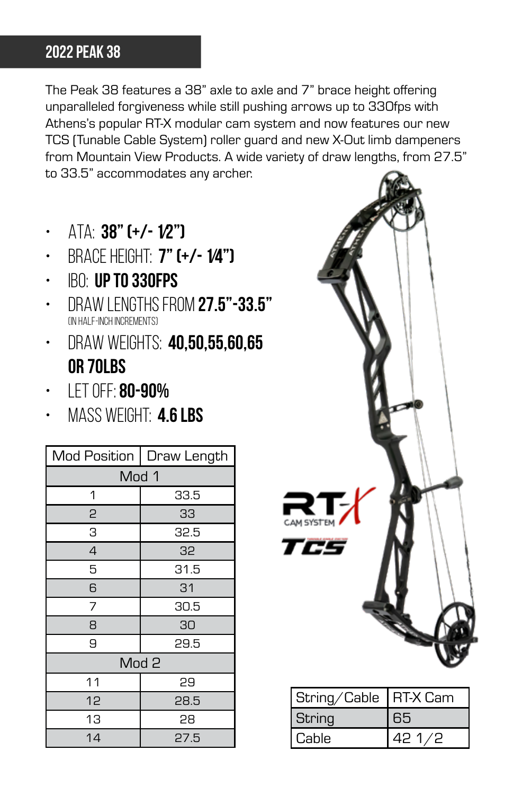# 2022 peak 38

The Peak 38 features a 38" axle to axle and 7" brace height offering unparalleled forgiveness while still pushing arrows up to 330fps with Athens's popular RT-X modular cam system and now features our new TCS (Tunable Cable System) roller guard and new X-Out limb dampeners from Mountain View Products. A wide variety of draw lengths, from 27.5" to 33.5" accommodates any archer.

- $\cdot$  ATA: 38" (+/- 1/2")
- $\cdot$  BRACE HEIGHT: 7" (+/- 1/4")
- $\cdot$  BO: up to 330FPS
- DRAW LENGTHS FROM 27.5"-33.5" (in half-inch increments)
- $\cdot$  DRAW WEIGHTS: 40,50,55,60,65 or 70lbs
- $\cdot$  IFT OFF: 80-90%
- $\cdot$  MASS WEIGHT: 4.6 LBS

| Mod Position     | Draw Length |  |  |
|------------------|-------------|--|--|
| Mod 1            |             |  |  |
| 1                | 33.5        |  |  |
| 2                | 33          |  |  |
| З                | 32.5        |  |  |
| $\overline{4}$   | 32          |  |  |
| 5                | 31.5        |  |  |
| 6                | 31          |  |  |
| 7                | 30.5        |  |  |
| 8                | 30          |  |  |
| 9                | 29.5        |  |  |
| Mod <sub>2</sub> |             |  |  |
| 11               | 29          |  |  |
| 12               | 28.5        |  |  |
| 13               | 28          |  |  |
| 14               | 27.5        |  |  |



| String/Cable | RT-X Cam |
|--------------|----------|
| String       | 65       |
| Cable        | ر ر      |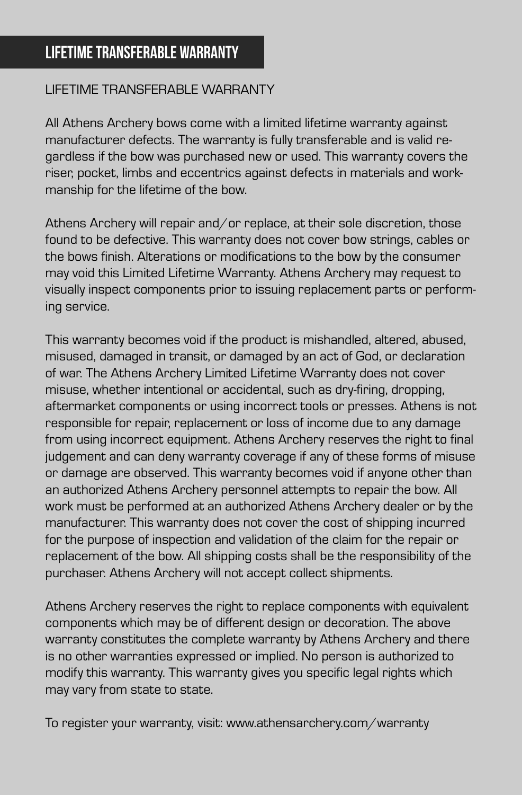#### LIFETIME TRANSFERABLE WARRANTY

All Athens Archery bows come with a limited lifetime warranty against manufacturer defects. The warranty is fully transferable and is valid regardless if the bow was purchased new or used. This warranty covers the riser, pocket, limbs and eccentrics against defects in materials and workmanship for the lifetime of the bow.

Athens Archery will repair and/or replace, at their sole discretion, those found to be defective. This warranty does not cover bow strings, cables or the bows finish. Alterations or modifications to the bow by the consumer may void this Limited Lifetime Warranty. Athens Archery may request to visually inspect components prior to issuing replacement parts or performing service.

This warranty becomes void if the product is mishandled, altered, abused, misused, damaged in transit, or damaged by an act of God, or declaration of war. The Athens Archery Limited Lifetime Warranty does not cover misuse, whether intentional or accidental, such as dry-firing, dropping, aftermarket components or using incorrect tools or presses. Athens is not responsible for repair, replacement or loss of income due to any damage from using incorrect equipment. Athens Archery reserves the right to final judgement and can deny warranty coverage if any of these forms of misuse or damage are observed. This warranty becomes void if anyone other than an authorized Athens Archery personnel attempts to repair the bow. All work must be performed at an authorized Athens Archery dealer or by the manufacturer. This warranty does not cover the cost of shipping incurred for the purpose of inspection and validation of the claim for the repair or replacement of the bow. All shipping costs shall be the responsibility of the purchaser. Athens Archery will not accept collect shipments.

Athens Archery reserves the right to replace components with equivalent components which may be of different design or decoration. The above warranty constitutes the complete warranty by Athens Archery and there is no other warranties expressed or implied. No person is authorized to modify this warranty. This warranty gives you specific legal rights which may vary from state to state.

To register your warranty, visit: www.athensarchery.com/warranty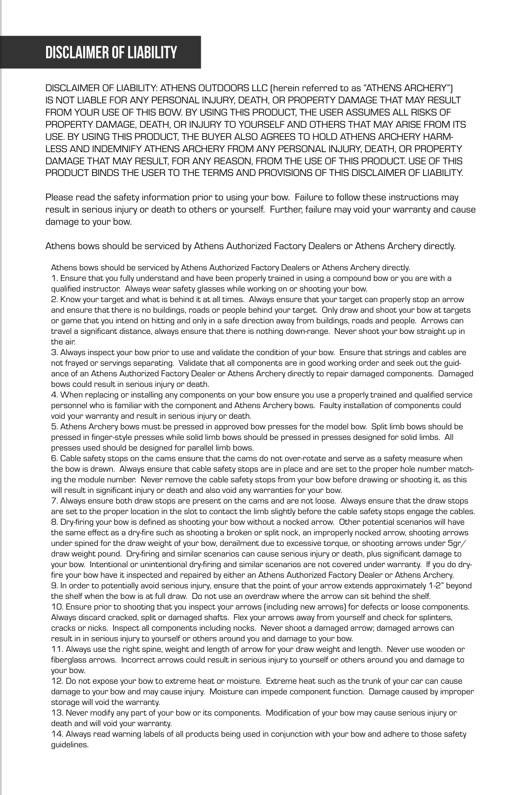## disclaimer of liability

DISCLAIMER OF LIABILITY: ATHENS OUTDOORS LLC (herein referred to as "ATHENS ARCHERY") IS NOT LIABLE FOR ANY PERSONAL INJURY, DEATH, OR PROPERTY DAMAGE THAT MAY RESULT FROM YOUR USE OF THIS BOW. BY USING THIS PRODUCT, THE USER ASSUMES ALL RISKS OF PROPERTY DAMAGE, DEATH, OR INJURY TO YOURSELF AND OTHERS THAT MAY ARISE FROM ITS USE. BY USING THIS PRODUCT, THE BUYER ALSO AGREES TO HOLD ATHENS ARCHERY HARM-LESS AND INDEMNIFY ATHENS ARCHERY FROM ANY PERSONAL INJURY, DEATH, OR PROPERTY DAMAGE THAT MAY RESULT, FOR ANY REASON, FROM THE USE OF THIS PRODUCT. USE OF THIS PRODUCT BINDS THE USER TO THE TERMS AND PROVISIONS OF THIS DISCLAIMER OF LIABILITY.

Please read the safety information prior to using your bow. Failure to follow these instructions may result in serious injury or death to others or yourself. Further, failure may void your warranty and cause damage to your bow.

Athens bows should be serviced by Athens Authorized Factory Dealers or Athens Archery directly.

Athens bows should be serviced by Athens Authorized Factory Dealers or Athens Archery directly.

1. Ensure that you fully understand and have been properly trained in using a compound bow or you are with a qualified instructor. Always wear safety glasses while working on or shooting your bow.

2. Know your target and what is behind it at all times. Always ensure that your target can properly stop an arrow and ensure that there is no buildings, roads or people behind your target. Only draw and shoot your bow at targets or game that you intend on hitting and only in a safe direction away from buildings, roads and people. Arrows can travel a significant distance, always ensure that there is nothing down-range. Never shoot your bow straight up in the air.

3. Always inspect your bow prior to use and validate the condition of your bow. Ensure that strings and cables are not frayed or servings separating. Validate that all components are in good working order and seek out the guidance of an Athens Authorized Factory Dealer or Athens Archery directly to repair damaged components. Damaged bows could result in serious injury or death.

4. When replacing or installing any components on your bow ensure you use a properly trained and qualified service personnel who is familiar with the component and Athens Archery bows. Faulty installation of components could void your warranty and result in serious injury or death.

5. Athens Archery bows must be pressed in approved bow presses for the model bow. Split limb bows should be pressed in finger-style presses while solid limb bows should be pressed in presses designed for solid limbs. All presses used should be designed for parallel limb bows.

6. Cable safety stops on the cams ensure that the cams do not over-rotate and serve as a safety measure when the bow is drawn. Always ensure that cable safety stops are in place and are set to the proper hole number matching the module number. Never remove the cable safety stops from your bow before drawing or shooting it, as this will result in significant injury or death and also void any warranties for your bow.

7. Always ensure both draw stops are present on the cams and are not loose. Always ensure that the draw stops are set to the proper location in the slot to contact the limb slightly before the cable safety stops engage the cables. 8. Dry-firing your bow is defined as shooting your bow without a nocked arrow. Other potential scenarios will have the same effect as a dry-fire such as shooting a broken or split nock, an improperly nocked arrow, shooting arrows under spined for the draw weight of your bow, derailment due to excessive torque, or shooting arrows under 5gr/ draw weight pound. Dry-firing and similar scenarios can cause serious injury or death, plus significant damage to your bow. Intentional or unintentional dry-firing and similar scenarios are not covered under warranty. If you do dryfire your bow have it inspected and repaired by either an Athens Authorized Factory Dealer or Athens Archery. 9. In order to potentially avoid serious injury, ensure that the point of your arrow extends approximately 1-2" beyond

the shelf when the bow is at full draw. Do not use an overdraw where the arrow can sit behind the shelf. 10. Ensure prior to shooting that you inspect your arrows (including new arrows) for defects or loose components. Always discard cracked, split or damaged shafts. Flex your arrows away from yourself and check for splinters, cracks or nicks. Inspect all components including nocks. Never shoot a damaged arrow; damaged arrows can result in in serious injury to yourself or others around you and damage to your bow.

11. Always use the right spine, weight and length of arrow for your draw weight and length. Never use wooden or fiberglass arrows. Incorrect arrows could result in serious injury to yourself or others around you and damage to your bow.

12. Do not expose your bow to extreme heat or moisture. Extreme heat such as the trunk of your car can cause damage to your bow and may cause injury. Moisture can impede component function. Damage caused by improper storage will void the warranty.

13. Never modify any part of your bow or its components. Modification of your bow may cause serious injury or death and will void your warranty.

14. Always read warning labels of all products being used in conjunction with your bow and adhere to those safety guidelines.